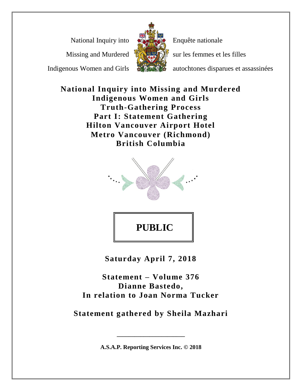National Inquiry into

Missing and Murdered

Indigenous Women and Girls



Enquête nationale

sur les femmes et les filles

autochtones disparues et assassinées

**National Inquiry into Missing and Murdered Indigenous Women and Girls Truth-Gathering Process Part I: Statement Gathering Hilton Vancouver Airport Hotel Metro Vancouver (Richmond) British Columbia**



**PUBLIC** 

**Saturday April 7, 2018**

**Statement – Volume 376 Dianne Bastedo, In relation to Joan Norma Tucker**

**Statement gathered by Sheila Mazhari**

**A.S.A.P. Reporting Services Inc. © 2018**

**\_\_\_\_\_\_\_\_\_\_\_\_\_\_\_\_\_\_\_\_\_\_\_**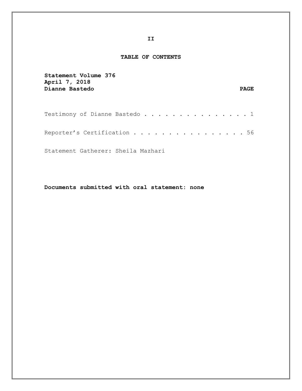#### **TABLE OF CONTENTS**

| Statement Volume 376<br>April 7, 2018<br>Dianne Bastedo                                  | <b>PAGE</b> |
|------------------------------------------------------------------------------------------|-------------|
| Testimony of Dianne Bastedo 1                                                            |             |
| Reporter's Certification $\dots\, \dots\, \dots\, \dots\, \dots\, \dots\, \dots\, \, 56$ |             |
| Statement Gatherer: Sheila Mazhari                                                       |             |

**Documents submitted with oral statement: none**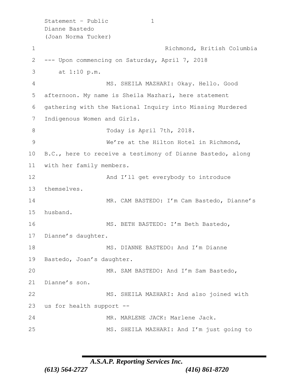```
Statement - Public 1
   Dianne Bastedo 
   (Joan Norma Tucker)
1 Richmond, British Columbia
2 --- Upon commencing on Saturday, April 7, 2018
3 at 1:10 p.m.
4 MS. SHEILA MAZHARI: Okay. Hello. Good 
5 afternoon. My name is Sheila Mazhari, here statement 
6 gathering with the National Inquiry into Missing Murdered 
7 Indigenous Women and Girls.
8 Today is April 7th, 2018.
9 We're at the Hilton Hotel in Richmond, 
10 B.C., here to receive a testimony of Dianne Bastedo, along 
11 with her family members.
12 And I'll get everybody to introduce
13 themselves.
14 MR. CAM BASTEDO: I'm Cam Bastedo, Dianne's
15 husband.
16 MS. BETH BASTEDO: I'm Beth Bastedo,
17 Dianne's daughter.
18 MS. DIANNE BASTEDO: And I'm Dianne
19 Bastedo, Joan's daughter.
20 MR. SAM BASTEDO: And I'm Sam Bastedo, 
21 Dianne's son.
22 MS. SHEILA MAZHARI: And also joined with 
23 us for health support --
24 MR. MARLENE JACK: Marlene Jack.
25 MS. SHEILA MAZHARI: And I'm just going to
```

```
A.S.A.P. Reporting Services Inc.
```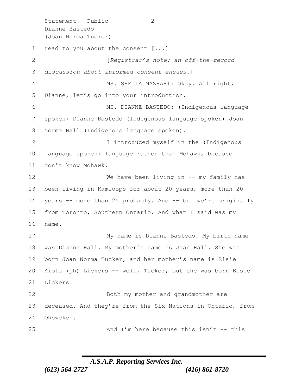Statement – Public 2 Dianne Bastedo (Joan Norma Tucker) read to you about the consent [...] [*Registrar's note: an off-the-record discussion about informed consent ensues*.] MS. SHEILA MAZHARI: Okay. All right, Dianne, let's go into your introduction. MS. DIANNE BASTEDO: (Indigenous language spoken) Dianne Bastedo (Indigenous language spoken) Joan Norma Hall (Indigenous language spoken). I introduced myself in the (Indigenous language spoken) language rather than Mohawk, because I don't know Mohawk. 12 We have been living in -- my family has been living in Kamloops for about 20 years, more than 20 years -- more than 25 probably. And -- but we're originally from Toronto, Southern Ontario. And what I said was my name. My name is Dianne Bastedo. My birth name was Dianne Hall. My mother's name is Joan Hall. She was born Joan Norma Tucker, and her mother's name is Elsie Aiola (ph) Lickers -- well, Tucker, but she was born Elsie Lickers. Both my mother and grandmother are deceased. And they're from the Six Nations in Ontario, from Ohsweken. 25 And I'm here because this isn't -- this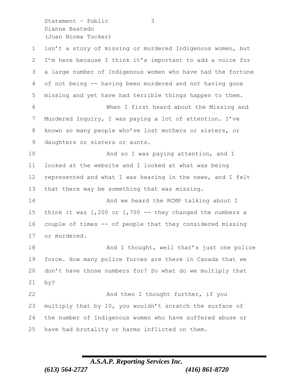Statement – Public 3 Dianne Bastedo (Joan Norma Tucker)

 isn't a story of missing or murdered Indigenous women, but I'm here because I think it's important to add a voice for a large number of Indigenous women who have had the fortune of not being -- having been murdered and not having gone missing and yet have had terrible things happen to them. When I first heard about the Missing and Murdered Inquiry, I was paying a lot of attention. I've known so many people who've lost mothers or sisters, or daughters or sisters or aunts. **And so I was paying attention, and I**  looked at the website and I looked at what was being represented and what I was hearing in the news, and I felt that there may be something that was missing. 14 And we heard the RCMP talking about I think it was 1,200 or 1,700 -- they changed the numbers a couple of times -- of people that they considered missing or murdered. 18 And I thought, well that's just one police force. How many police forces are there in Canada that we don't have those numbers for? So what do we multiply that by? 22 And then I thought further, if you multiply that by 10, you wouldn't scratch the surface of the number of Indigenous women who have suffered abuse or have had brutality or harms inflicted on them.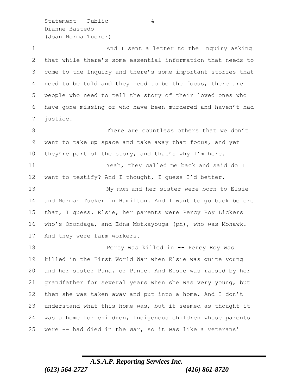Statement – Public 4 Dianne Bastedo (Joan Norma Tucker)

1 And I sent a letter to the Inquiry asking that while there's some essential information that needs to come to the Inquiry and there's some important stories that need to be told and they need to be the focus, there are people who need to tell the story of their loved ones who have gone missing or who have been murdered and haven't had justice. There are countless others that we don't want to take up space and take away that focus, and yet

 Yeah, they called me back and said do I want to testify? And I thought, I guess I'd better. My mom and her sister were born to Elsie

10 they're part of the story, and that's why I'm here.

 and Norman Tucker in Hamilton. And I want to go back before that, I guess. Elsie, her parents were Percy Roy Lickers who's Onondaga, and Edna Motkayouga (ph), who was Mohawk. And they were farm workers.

 Percy was killed in -- Percy Roy was killed in the First World War when Elsie was quite young and her sister Puna, or Punie. And Elsie was raised by her grandfather for several years when she was very young, but then she was taken away and put into a home. And I don't understand what this home was, but it seemed as thought it was a home for children, Indigenous children whose parents were -- had died in the War, so it was like a veterans'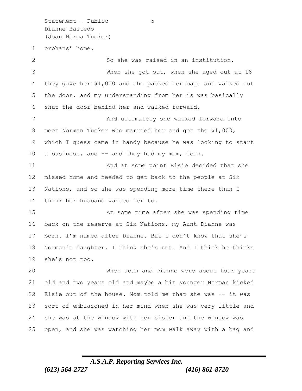Statement – Public 5 Dianne Bastedo (Joan Norma Tucker)

 orphans' home. So she was raised in an institution. When she got out, when she aged out at 18 they gave her \$1,000 and she packed her bags and walked out the door, and my understanding from her is was basically shut the door behind her and walked forward. 7 And ultimately she walked forward into meet Norman Tucker who married her and got the \$1,000, which I guess came in handy because he was looking to start a business, and -- and they had my mom, Joan. And at some point Elsie decided that she missed home and needed to get back to the people at Six Nations, and so she was spending more time there than I think her husband wanted her to. At some time after she was spending time back on the reserve at Six Nations, my Aunt Dianne was born. I'm named after Dianne. But I don't know that she's Norman's daughter. I think she's not. And I think he thinks she's not too. When Joan and Dianne were about four years old and two years old and maybe a bit younger Norman kicked Elsie out of the house. Mom told me that she was -- it was

sort of emblazoned in her mind when she was very little and

open, and she was watching her mom walk away with a bag and

she was at the window with her sister and the window was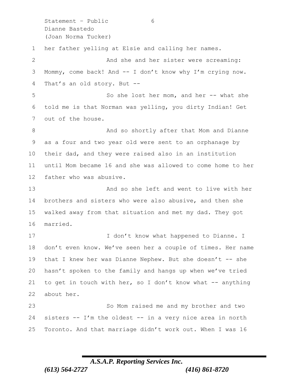Statement - Public 6 Dianne Bastedo (Joan Norma Tucker) her father yelling at Elsie and calling her names. 2 And she and her sister were screaming: Mommy, come back! And -- I don't know why I'm crying now. That's an old story. But -- So she lost her mom, and her -- what she told me is that Norman was yelling, you dirty Indian! Get out of the house. 8 And so shortly after that Mom and Dianne as a four and two year old were sent to an orphanage by their dad, and they were raised also in an institution until Mom became 16 and she was allowed to come home to her father who was abusive. And so she left and went to live with her brothers and sisters who were also abusive, and then she walked away from that situation and met my dad. They got married. 17 I don't know what happened to Dianne. I don't even know. We've seen her a couple of times. Her name 19 that I knew her was Dianne Nephew. But she doesn't -- she hasn't spoken to the family and hangs up when we've tried 21 to get in touch with her, so I don't know what  $-$  anything about her. So Mom raised me and my brother and two sisters -- I'm the oldest -- in a very nice area in north Toronto. And that marriage didn't work out. When I was 16

### *A.S.A.P. Reporting Services Inc.*

*(613) 564-2727 (416) 861-8720*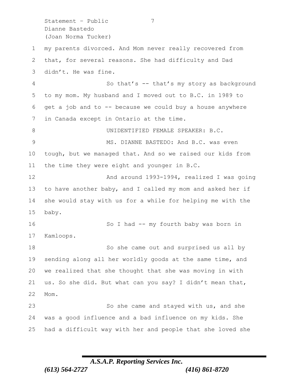Statement – Public 7 Dianne Bastedo (Joan Norma Tucker)

 my parents divorced. And Mom never really recovered from that, for several reasons. She had difficulty and Dad didn't. He was fine. 4 So that's -- that's my story as background to my mom. My husband and I moved out to B.C. in 1989 to get a job and to -- because we could buy a house anywhere in Canada except in Ontario at the time. 8 UNIDENTIFIED FEMALE SPEAKER: B.C. MS. DIANNE BASTEDO: And B.C. was even tough, but we managed that. And so we raised our kids from the time they were eight and younger in B.C. And around 1993-1994, realized I was going to have another baby, and I called my mom and asked her if she would stay with us for a while for helping me with the baby. 16 So I had -- my fourth baby was born in Kamloops. So she came out and surprised us all by sending along all her worldly goods at the same time, and we realized that she thought that she was moving in with us. So she did. But what can you say? I didn't mean that, Mom. 23 So she came and stayed with us, and she

had a difficult way with her and people that she loved she

was a good influence and a bad influence on my kids. She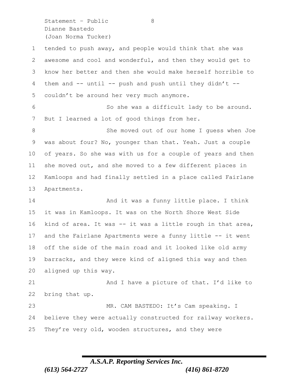Statement – Public 8 Dianne Bastedo (Joan Norma Tucker)

 tended to push away, and people would think that she was awesome and cool and wonderful, and then they would get to know her better and then she would make herself horrible to them and -- until -- push and push until they didn't -- couldn't be around her very much anymore. So she was a difficult lady to be around. But I learned a lot of good things from her. 8 She moved out of our home I guess when Joe was about four? No, younger than that. Yeah. Just a couple of years. So she was with us for a couple of years and then she moved out, and she moved to a few different places in Kamloops and had finally settled in a place called Fairlane Apartments. 14 And it was a funny little place. I think it was in Kamloops. It was on the North Shore West Side kind of area. It was -- it was a little rough in that area, and the Fairlane Apartments were a funny little -- it went off the side of the main road and it looked like old army barracks, and they were kind of aligned this way and then aligned up this way. 21 And I have a picture of that. I'd like to bring that up. MR. CAM BASTEDO: It's Cam speaking. I believe they were actually constructed for railway workers. They're very old, wooden structures, and they were

### *A.S.A.P. Reporting Services Inc. (613) 564-2727 (416) 861-8720*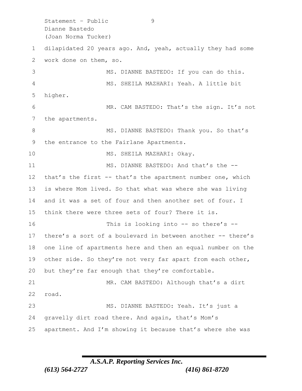Statement – Public 9 Dianne Bastedo (Joan Norma Tucker) dilapidated 20 years ago. And, yeah, actually they had some work done on them, so. MS. DIANNE BASTEDO: If you can do this. MS. SHEILA MAZHARI: Yeah. A little bit higher. MR. CAM BASTEDO: That's the sign. It's not the apartments. 8 MS. DIANNE BASTEDO: Thank you. So that's the entrance to the Fairlane Apartments. 10 MS. SHEILA MAZHARI: Okay. 11 MS. DIANNE BASTEDO: And that's the -- that's the first -- that's the apartment number one, which is where Mom lived. So that what was where she was living and it was a set of four and then another set of four. I think there were three sets of four? There it is. This is looking into -- so there's -- there's a sort of a boulevard in between another -- there's one line of apartments here and then an equal number on the 19 other side. So they're not very far apart from each other, 20 but they're far enough that they're comfortable. 21 MR. CAM BASTEDO: Although that's a dirt road. MS. DIANNE BASTEDO: Yeah. It's just a gravelly dirt road there. And again, that's Mom's apartment. And I'm showing it because that's where she was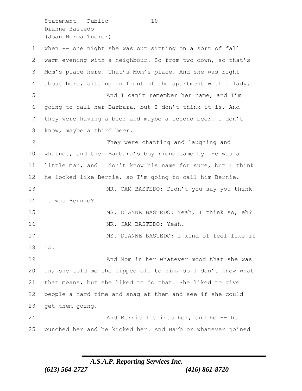Statement - Public 10 Dianne Bastedo (Joan Norma Tucker)

 when -- one night she was out sitting on a sort of fall warm evening with a neighbour. So from two down, so that's Mom's place here. That's Mom's place. And she was right about here, sitting in front of the apartment with a lady. And I can't remember her name, and I'm going to call her Barbara, but I don't think it is. And they were having a beer and maybe a second beer. I don't 8 know, maybe a third beer. They were chatting and laughing and whatnot, and then Barbara's boyfriend came by. He was a little man, and I don't know his name for sure, but I think he looked like Bernie, so I'm going to call him Bernie. MR. CAM BASTEDO: Didn't you say you think it was Bernie? MS. DIANNE BASTEDO: Yeah, I think so, eh? MR. CAM BASTEDO: Yeah. MS. DIANNE BASTEDO: I kind of feel like it is. And Mom in her whatever mood that she was in, she told me she lipped off to him, so I don't know what that means, but she liked to do that. She liked to give people a hard time and snag at them and see if she could get them going. 24 And Bernie lit into her, and he -- he punched her and he kicked her. And Barb or whatever joined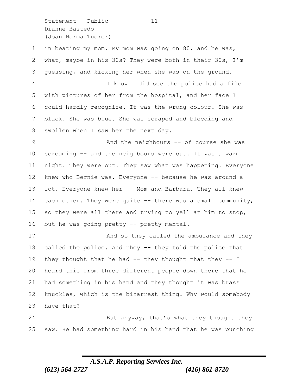Statement - Public 11 Dianne Bastedo (Joan Norma Tucker)

| $\mathbf 1$     | in beating my mom. My mom was going on 80, and he was,       |
|-----------------|--------------------------------------------------------------|
| 2               | what, maybe in his 30s? They were both in their 30s, I'm     |
| 3               | quessing, and kicking her when she was on the ground.        |
| 4               | I know I did see the police had a file                       |
| 5               | with pictures of her from the hospital, and her face I       |
| 6               | could hardly recognize. It was the wrong colour. She was     |
| 7               | black. She was blue. She was scraped and bleeding and        |
| 8               | swollen when I saw her the next day.                         |
| 9               | And the neighbours -- of course she was                      |
| 10 <sub>o</sub> | screaming -- and the neighbours were out. It was a warm      |
| 11              | night. They were out. They saw what was happening. Everyone  |
| 12              | knew who Bernie was. Everyone -- because he was around a     |
| 13              | lot. Everyone knew her -- Mom and Barbara. They all knew     |
| 14              | each other. They were quite $-$ there was a small community, |
| 15              | so they were all there and trying to yell at him to stop,    |
| 16              | but he was going pretty -- pretty mental.                    |
| 17              | And so they called the ambulance and they                    |
| 18              | called the police. And they -- they told the police that     |
| 19              | they thought that he had -- they thought that they -- $I$    |
| 20              | heard this from three different people down there that he    |
| 21              | had something in his hand and they thought it was brass      |
| 22              | knuckles, which is the bizarrest thing. Why would somebody   |
| 23              | have that?                                                   |
| 24              | But anyway, that's what they thought they                    |
|                 |                                                              |

saw. He had something hard in his hand that he was punching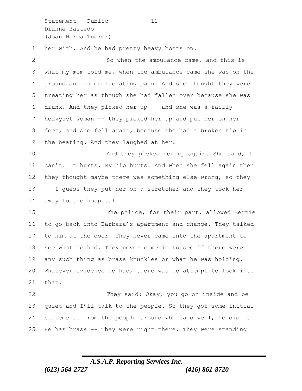Statement - Public 12 Dianne Bastedo (Joan Norma Tucker)

her with. And he had pretty heavy boots on.

| $\mathbf{2}^{\mathsf{I}}$ | So when the ambulance came, and this is                     |
|---------------------------|-------------------------------------------------------------|
| 3                         | what my mom told me, when the ambulance came she was on the |
| 4                         | ground and in excruciating pain. And she thought they were  |
| 5                         | treating her as though she had fallen over because she was  |
| 6                         | drunk. And they picked her up -- and she was a fairly       |
| $7\phantom{.0}$           | heavyset woman -- they picked her up and put her on her     |
| 8                         | feet, and she fell again, because she had a broken hip in   |
| 9                         | the beating. And they laughed at her.                       |
| 10                        | And they picked her up again. She said, I                   |
| 11                        | can't. It hurts. My hip hurts. And when she fell again then |
| 12 <sup>°</sup>           | they thought maybe there was something else wrong, so they  |
| 13                        | -- I guess they put her on a stretcher and they took her    |
| 14                        | away to the hospital.                                       |
| 15                        | The police, for their part, allowed Bernie                  |
| 16                        | to go back into Barbara's apartment and change. They talked |
| 17                        | to him at the door. They never came into the apartment to   |
| 18                        | see what he had. They never came in to see if there were    |
| 19                        | any such thing as brass knuckles or what he was holding.    |
| 20                        | Whatever evidence he had, there was no attempt to look into |
| 21                        | that.                                                       |
| 22                        | They said: Okay, you go on inside and be                    |
| 23                        | quiet and I'll talk to the people. So they got some initial |
| 24                        | statements from the people around who said well, he did it. |
| 25                        | He has brass -- They were right there. They were standing   |

## *A.S.A.P. Reporting Services Inc. (613) 564-2727 (416) 861-8720*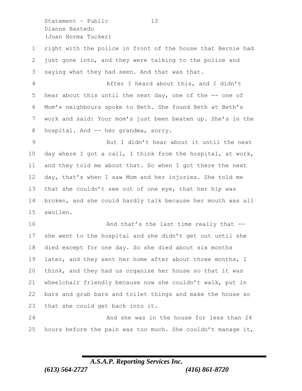Statement – Public 13 Dianne Bastedo (Joan Norma Tucker)

 right with the police in front of the house that Bernie had just gone into, and they were talking to the police and saying what they had seen. And that was that. After I heard about this, and I didn't

 hear about this until the next day, one of the -- one of Mom's neighbours spoke to Beth. She found Beth at Beth's work and said: Your mom's just been beaten up. She's in the hospital. And -- her grandma, sorry.

 But I didn't hear about it until the next day where I got a call, I think from the hospital, at work, and they told me about that. So when I got there the next day, that's when I saw Mom and her injuries. She told me that she couldn't see out of one eye, that her hip was broken, and she could hardly talk because her mouth was all swollen.

16 And that's the last time really that -- she went to the hospital and she didn't get out until she died except for one day. So she died about six months 19 later, and they sent her home after about three months, I think, and they had us organize her house so that it was wheelchair friendly because now she couldn't walk, put in bars and grab bars and toilet things and make the house so that she could get back into it.

 And she was in the house for less than 24 25 hours before the pain was too much. She couldn't manage it,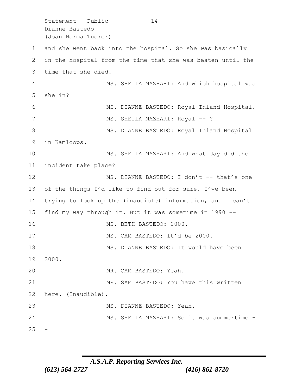Statement - Public 14 Dianne Bastedo (Joan Norma Tucker)

 and she went back into the hospital. So she was basically in the hospital from the time that she was beaten until the time that she died. MS. SHEILA MAZHARI: And which hospital was she in? MS. DIANNE BASTEDO: Royal Inland Hospital. 7 MS. SHEILA MAZHARI: Royal -- ? 8 MS. DIANNE BASTEDO: Royal Inland Hospital in Kamloops. MS. SHEILA MAZHARI: And what day did the incident take place? 12 MS. DIANNE BASTEDO: I don't -- that's one of the things I'd like to find out for sure. I've been trying to look up the (inaudible) information, and I can't find my way through it. But it was sometime in 1990 -- MS. BETH BASTEDO: 2000. MS. CAM BASTEDO: It'd be 2000. MS. DIANNE BASTEDO: It would have been 2000. MR. CAM BASTEDO: Yeah. MR. SAM BASTEDO: You have this written here. (Inaudible). 23 MS. DIANNE BASTEDO: Yeah. MS. SHEILA MAZHARI: So it was summertime -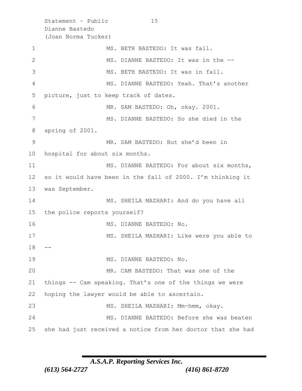Statement - Public 15 Dianne Bastedo (Joan Norma Tucker) 1 MS. BETH BASTEDO: It was fall. 2 MS. DIANNE BASTEDO: It was in the -- MS. BETH BASTEDO: It was in fall. MS. DIANNE BASTEDO: Yeah. That's another picture, just to keep track of dates. MR. SAM BASTEDO: Oh, okay. 2001. MS. DIANNE BASTEDO: So she died in the spring of 2001. MR. SAM BASTEDO: But she'd been in hospital for about six months. 11 MS. DIANNE BASTEDO: For about six months, so it would have been in the fall of 2000. I'm thinking it was September. MS. SHEILA MAZHARI: And do you have all the police reports yourself? 16 MS. DIANNE BASTEDO: No. MS. SHEILA MAZHARI: Like were you able to MS. DIANNE BASTEDO: No. MR. CAM BASTEDO: That was one of the things -- Cam speaking. That's one of the things we were hoping the lawyer would be able to ascertain. MS. SHEILA MAZHARI: Mm-hmm, okay. MS. DIANNE BASTEDO: Before she was beaten she had just received a notice from her doctor that she had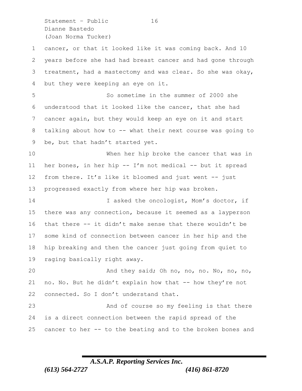Statement - Public 16 Dianne Bastedo (Joan Norma Tucker)

 cancer, or that it looked like it was coming back. And 10 years before she had had breast cancer and had gone through treatment, had a mastectomy and was clear. So she was okay, but they were keeping an eye on it.

 So sometime in the summer of 2000 she understood that it looked like the cancer, that she had cancer again, but they would keep an eye on it and start talking about how to -- what their next course was going to be, but that hadn't started yet.

 When her hip broke the cancer that was in her bones, in her hip -- I'm not medical -- but it spread from there. It's like it bloomed and just went -- just progressed exactly from where her hip was broken.

14 I asked the oncologist, Mom's doctor, if there was any connection, because it seemed as a layperson that there -- it didn't make sense that there wouldn't be some kind of connection between cancer in her hip and the hip breaking and then the cancer just going from quiet to raging basically right away.

 And they said; Oh no, no, no. No, no, no, no. No. But he didn't explain how that -- how they're not 22 connected. So I don't understand that.

 And of course so my feeling is that there is a direct connection between the rapid spread of the cancer to her -- to the beating and to the broken bones and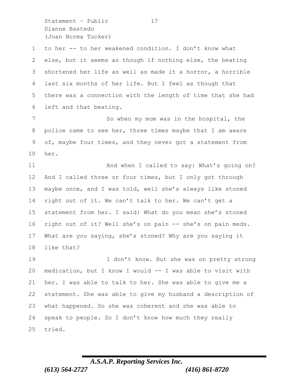Statement - Public 17 Dianne Bastedo (Joan Norma Tucker)

 to her -- to her weakened condition. I don't know what else, but it seems as though if nothing else, the beating shortened her life as well as made it a horror, a horrible last six months of her life. But I feel as though that there was a connection with the length of time that she had left and that beating.

7 So when my mom was in the hospital, the police came to see her, three times maybe that I am aware of, maybe four times, and they never got a statement from her.

11 And when I called to say: What's going on? And I called three or four times, but I only got through maybe once, and I was told, well she's always like stoned right out of it. We can't talk to her. We can't get a statement from her. I said: What do you mean she's stoned right out of it? Well she's on pain -- she's on pain meds. What are you saying, she's stoned? Why are you saying it like that?

19 I don't know. But she was on pretty strong medication, but I know I would -- I was able to visit with her. I was able to talk to her. She was able to give me a statement. She was able to give my husband a description of what happened. So she was coherent and she was able to speak to people. So I don't know how much they really tried.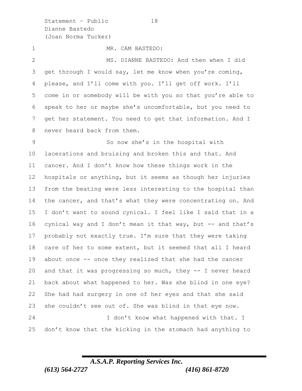Statement – Public 18 Dianne Bastedo (Joan Norma Tucker)

1 MR. CAM BASTEDO:

 MS. DIANNE BASTEDO: And then when I did get through I would say, let me know when you're coming, please, and I'll come with you. I'll get off work. I'll come in or somebody will be with you so that you're able to speak to her or maybe she's uncomfortable, but you need to get her statement. You need to get that information. And I never heard back from them.

 So now she's in the hospital with lacerations and bruising and broken this and that. And cancer. And I don't know how these things work in the hospitals or anything, but it seems as though her injuries from the beating were less interesting to the hospital than 14 the cancer, and that's what they were concentrating on. And I don't want to sound cynical. I feel like I said that in a 16 cynical way and I don't mean it that way, but -- and that's probably not exactly true. I'm sure that they were taking care of her to some extent, but it seemed that all I heard about once -- once they realized that she had the cancer and that it was progressing so much, they -- I never heard back about what happened to her. Was she blind in one eye? She had had surgery in one of her eyes and that she said she couldn't see out of. She was blind in that eye now. 24 I don't know what happened with that. I don't know that the kicking in the stomach had anything to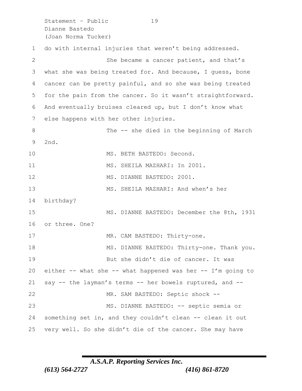Statement - Public 19 Dianne Bastedo (Joan Norma Tucker) do with internal injuries that weren't being addressed. She became a cancer patient, and that's what she was being treated for. And because, I guess, bone cancer can be pretty painful, and so she was being treated for the pain from the cancer. So it wasn't straightforward. And eventually bruises cleared up, but I don't know what else happens with her other injuries. 8 The -- she died in the beginning of March 2nd. 10 MS. BETH BASTEDO: Second. 11 MS. SHEILA MAZHARI: In 2001. 12 MS. DIANNE BASTEDO: 2001. MS. SHEILA MAZHARI: And when's her birthday? MS. DIANNE BASTEDO: December the 8th, 1931 or three. One? 17 MR. CAM BASTEDO: Thirty-one. MS. DIANNE BASTEDO: Thirty-one. Thank you. But she didn't die of cancer. It was either -- what she -- what happened was her -- I'm going to say -- the layman's terms -- her bowels ruptured, and -- 22 MR. SAM BASTEDO: Septic shock -- MS. DIANNE BASTEDO: -- septic semia or something set in, and they couldn't clean -- clean it out very well. So she didn't die of the cancer. She may have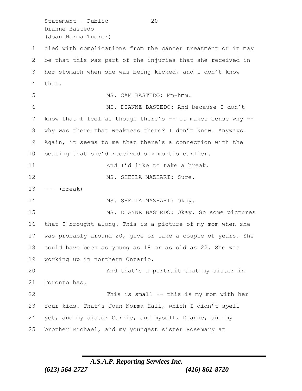Statement - Public 20 Dianne Bastedo (Joan Norma Tucker)

 died with complications from the cancer treatment or it may be that this was part of the injuries that she received in her stomach when she was being kicked, and I don't know that. MS. CAM BASTEDO: Mm-hmm. MS. DIANNE BASTEDO: And because I don't 7 know that I feel as though there's -- it makes sense why -- why was there that weakness there? I don't know. Anyways. Again, it seems to me that there's a connection with the beating that she'd received six months earlier. 11 and I'd like to take a break. 12 MS. SHEILA MAZHARI: Sure. --- (break) 14 MS. SHEILA MAZHARI: Okay. MS. DIANNE BASTEDO: Okay. So some pictures that I brought along. This is a picture of my mom when she was probably around 20, give or take a couple of years. She could have been as young as 18 or as old as 22. She was working up in northern Ontario. And that's a portrait that my sister in Toronto has. This is small -- this is my mom with her four kids. That's Joan Norma Hall, which I didn't spell yet, and my sister Carrie, and myself, Dianne, and my brother Michael, and my youngest sister Rosemary at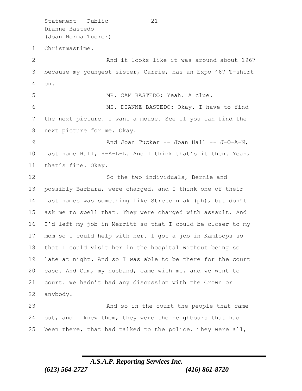Statement - Public 21 Dianne Bastedo (Joan Norma Tucker) Christmastime. 2 And it looks like it was around about 1967 because my youngest sister, Carrie, has an Expo '67 T-shirt on. MR. CAM BASTEDO: Yeah. A clue. MS. DIANNE BASTEDO: Okay. I have to find the next picture. I want a mouse. See if you can find the next picture for me. Okay. 9 And Joan Tucker -- Joan Hall -- J-O-A-N, last name Hall, H-A-L-L. And I think that's it then. Yeah, that's fine. Okay. So the two individuals, Bernie and possibly Barbara, were charged, and I think one of their last names was something like Stretchniak (ph), but don't ask me to spell that. They were charged with assault. And I'd left my job in Merritt so that I could be closer to my mom so I could help with her. I got a job in Kamloops so that I could visit her in the hospital without being so late at night. And so I was able to be there for the court case. And Cam, my husband, came with me, and we went to court. We hadn't had any discussion with the Crown or anybody. And so in the court the people that came out, and I knew them, they were the neighbours that had

been there, that had talked to the police. They were all,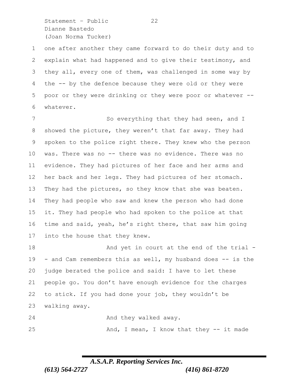Statement - Public 22 Dianne Bastedo (Joan Norma Tucker)

 one after another they came forward to do their duty and to explain what had happened and to give their testimony, and they all, every one of them, was challenged in some way by the -- by the defence because they were old or they were poor or they were drinking or they were poor or whatever -- whatever.

7 So everything that they had seen, and I showed the picture, they weren't that far away. They had spoken to the police right there. They knew who the person was. There was no -- there was no evidence. There was no evidence. They had pictures of her face and her arms and her back and her legs. They had pictures of her stomach. They had the pictures, so they know that she was beaten. They had people who saw and knew the person who had done it. They had people who had spoken to the police at that time and said, yeah, he's right there, that saw him going into the house that they knew.

18 And yet in court at the end of the trial -19 - and Cam remembers this as well, my husband does -- is the judge berated the police and said: I have to let these people go. You don't have enough evidence for the charges to stick. If you had done your job, they wouldn't be walking away.

24 And they walked away.

25 And, I mean, I know that they -- it made

### *A.S.A.P. Reporting Services Inc. (613) 564-2727 (416) 861-8720*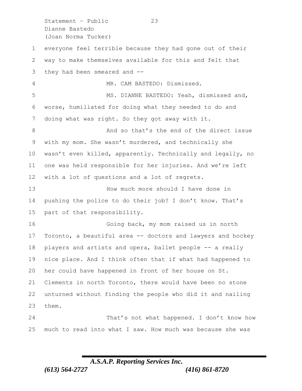Statement – Public 23 Dianne Bastedo (Joan Norma Tucker)

 everyone feel terrible because they had gone out of their way to make themselves available for this and felt that they had been smeared and -- MR. CAM BASTEDO: Dismissed. MS. DIANNE BASTEDO: Yeah, dismissed and, worse, humiliated for doing what they needed to do and doing what was right. So they got away with it. 8 And so that's the end of the direct issue with my mom. She wasn't murdered, and technically she wasn't even killed, apparently. Technically and legally, no one was held responsible for her injuries. And we're left with a lot of questions and a lot of regrets. How much more should I have done in pushing the police to do their job? I don't know. That's part of that responsibility. Going back, my mom raised us in north Toronto, a beautiful area -- doctors and lawyers and hockey players and artists and opera, ballet people -- a really nice place. And I think often that if what had happened to her could have happened in front of her house on St. Clements in north Toronto, there would have been no stone unturned without finding the people who did it and nailing them.

24 That's not what happened. I don't know how much to read into what I saw. How much was because she was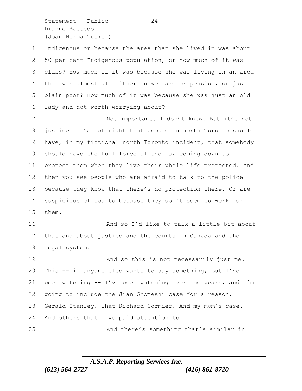Statement - Public 24 Dianne Bastedo (Joan Norma Tucker)

 Indigenous or because the area that she lived in was about 50 per cent Indigenous population, or how much of it was class? How much of it was because she was living in an area that was almost all either on welfare or pension, or just plain poor? How much of it was because she was just an old lady and not worth worrying about?

 Not important. I don't know. But it's not justice. It's not right that people in north Toronto should have, in my fictional north Toronto incident, that somebody should have the full force of the law coming down to protect them when they live their whole life protected. And then you see people who are afraid to talk to the police because they know that there's no protection there. Or are suspicious of courts because they don't seem to work for them.

 And so I'd like to talk a little bit about that and about justice and the courts in Canada and the legal system.

**And so this is not necessarily just me.**  This -- if anyone else wants to say something, but I've 21 been watching  $-$  I've been watching over the years, and I'm going to include the Jian Ghomeshi case for a reason. Gerald Stanley. That Richard Cormier. And my mom's case. And others that I've paid attention to. And there's something that's similar in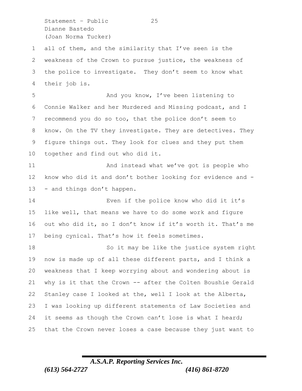Statement – Public 25 Dianne Bastedo (Joan Norma Tucker)

 all of them, and the similarity that I've seen is the weakness of the Crown to pursue justice, the weakness of the police to investigate. They don't seem to know what their job is.

5 And you know, I've been listening to Connie Walker and her Murdered and Missing podcast, and I recommend you do so too, that the police don't seem to know. On the TV they investigate. They are detectives. They figure things out. They look for clues and they put them together and find out who did it.

11 And instead what we've got is people who know who did it and don't bother looking for evidence and - - and things don't happen.

 Even if the police know who did it it's like well, that means we have to do some work and figure out who did it, so I don't know if it's worth it. That's me being cynical. That's how it feels sometimes.

18 So it may be like the justice system right now is made up of all these different parts, and I think a weakness that I keep worrying about and wondering about is why is it that the Crown -- after the Colten Boushie Gerald Stanley case I looked at the, well I look at the Alberta, I was looking up different statements of Law Societies and 24 it seems as though the Crown can't lose is what I heard; that the Crown never loses a case because they just want to

## *A.S.A.P. Reporting Services Inc. (613) 564-2727 (416) 861-8720*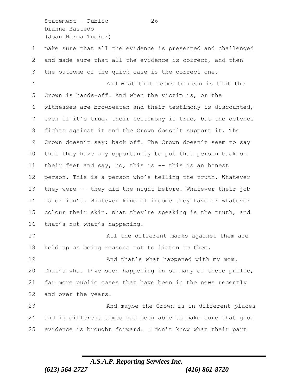Statement - Public 26 Dianne Bastedo (Joan Norma Tucker)

 make sure that all the evidence is presented and challenged and made sure that all the evidence is correct, and then the outcome of the quick case is the correct one.

 And what that seems to mean is that the Crown is hands-off. And when the victim is, or the witnesses are browbeaten and their testimony is discounted, even if it's true, their testimony is true, but the defence fights against it and the Crown doesn't support it. The Crown doesn't say: back off. The Crown doesn't seem to say that they have any opportunity to put that person back on their feet and say, no, this is -- this is an honest person. This is a person who's telling the truth. Whatever they were -- they did the night before. Whatever their job is or isn't. Whatever kind of income they have or whatever colour their skin. What they're speaking is the truth, and that's not what's happening.

 All the different marks against them are held up as being reasons not to listen to them.

**And that's what happened with my mom.**  That's what I've seen happening in so many of these public, far more public cases that have been in the news recently and over the years.

 And maybe the Crown is in different places and in different times has been able to make sure that good evidence is brought forward. I don't know what their part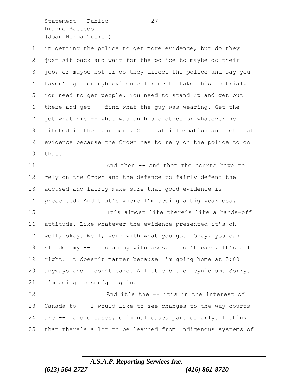Statement – Public 27 Dianne Bastedo (Joan Norma Tucker)

 in getting the police to get more evidence, but do they just sit back and wait for the police to maybe do their job, or maybe not or do they direct the police and say you haven't got enough evidence for me to take this to trial. You need to get people. You need to stand up and get out there and get -- find what the guy was wearing. Get the -- get what his -- what was on his clothes or whatever he ditched in the apartment. Get that information and get that evidence because the Crown has to rely on the police to do that. 11 And then -- and then the courts have to rely on the Crown and the defence to fairly defend the accused and fairly make sure that good evidence is presented. And that's where I'm seeing a big weakness. It's almost like there's like a hands-off attitude. Like whatever the evidence presented it's oh well, okay. Well, work with what you got. Okay, you can slander my -- or slam my witnesses. I don't care. It's all right. It doesn't matter because I'm going home at 5:00 anyways and I don't care. A little bit of cynicism. Sorry. I'm going to smudge again. 22 And it's the -- it's in the interest of Canada to -- I would like to see changes to the way courts are -- handle cases, criminal cases particularly. I think that there's a lot to be learned from Indigenous systems of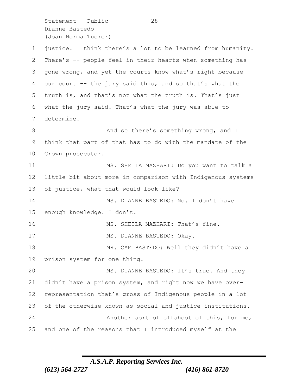Statement - Public 28 Dianne Bastedo (Joan Norma Tucker)

 justice. I think there's a lot to be learned from humanity. There's -- people feel in their hearts when something has gone wrong, and yet the courts know what's right because our court -- the jury said this, and so that's what the truth is, and that's not what the truth is. That's just what the jury said. That's what the jury was able to determine. 8 And so there's something wrong, and I think that part of that has to do with the mandate of the Crown prosecutor. MS. SHEILA MAZHARI: Do you want to talk a little bit about more in comparison with Indigenous systems of justice, what that would look like? 14 MS. DIANNE BASTEDO: No. I don't have enough knowledge. I don't. 16 MS. SHEILA MAZHARI: That's fine. 17 MS. DIANNE BASTEDO: Okay. MR. CAM BASTEDO: Well they didn't have a prison system for one thing. 20 MS. DIANNE BASTEDO: It's true. And they didn't have a prison system, and right now we have over- representation that's gross of Indigenous people in a lot of the otherwise known as social and justice institutions. Another sort of offshoot of this, for me, and one of the reasons that I introduced myself at the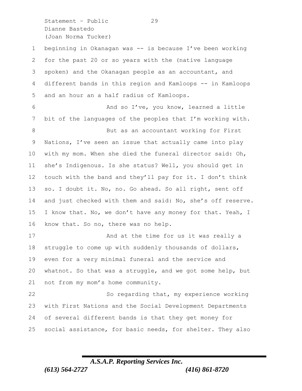Statement – Public 29 Dianne Bastedo (Joan Norma Tucker)

 beginning in Okanagan was -- is because I've been working for the past 20 or so years with the (native language spoken) and the Okanagan people as an accountant, and different bands in this region and Kamloops -- in Kamloops and an hour an a half radius of Kamloops. And so I've, you know, learned a little bit of the languages of the peoples that I'm working with. 8 But as an accountant working for First Nations, I've seen an issue that actually came into play with my mom. When she died the funeral director said: Oh, she's Indigenous. Is she status? Well, you should get in touch with the band and they'll pay for it. I don't think so. I doubt it. No, no. Go ahead. So all right, sent off and just checked with them and said: No, she's off reserve. 15 I know that. No, we don't have any money for that. Yeah, I know that. So no, there was no help. 17 And at the time for us it was really a struggle to come up with suddenly thousands of dollars, even for a very minimal funeral and the service and whatnot. So that was a struggle, and we got some help, but not from my mom's home community. So regarding that, my experience working with First Nations and the Social Development Departments of several different bands is that they get money for social assistance, for basic needs, for shelter. They also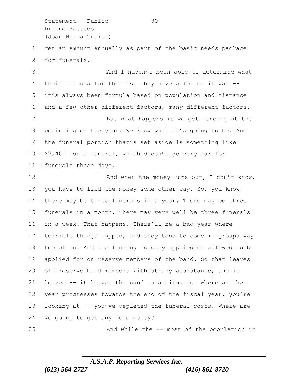Statement – Public 30 Dianne Bastedo (Joan Norma Tucker)

 get an amount annually as part of the basic needs package for funerals.

3 And I haven't been able to determine what their formula for that is. They have a lot of it was -- it's always been formula based on population and distance and a few other different factors, many different factors. 7 But what happens is we get funding at the beginning of the year. We know what it's going to be. And the funeral portion that's set aside is something like \$2,400 for a funeral, which doesn't go very far for funerals these days.

12 And when the money runs out, I don't know, you have to find the money some other way. So, you know, there may be three funerals in a year. There may be three funerals in a month. There may very well be three funerals in a week. That happens. There'll be a bad year where terrible things happen, and they tend to come in groups way too often. And the funding is only applied or allowed to be applied for on reserve members of the band. So that leaves off reserve band members without any assistance, and it leaves -- it leaves the band in a situation where as the year progresses towards the end of the fiscal year, you're looking at -- you've depleted the funeral costs. Where are we going to get any more money?

And while the -- most of the population in

## *A.S.A.P. Reporting Services Inc. (613) 564-2727 (416) 861-8720*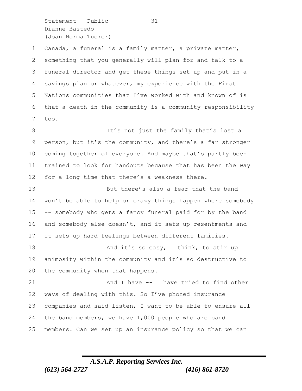Statement - Public 31 Dianne Bastedo (Joan Norma Tucker)

 Canada, a funeral is a family matter, a private matter, something that you generally will plan for and talk to a funeral director and get these things set up and put in a savings plan or whatever, my experience with the First Nations communities that I've worked with and known of is that a death in the community is a community responsibility too.

8 It's not just the family that's lost a person, but it's the community, and there's a far stronger coming together of everyone. And maybe that's partly been trained to look for handouts because that has been the way for a long time that there's a weakness there.

 But there's also a fear that the band won't be able to help or crazy things happen where somebody -- somebody who gets a fancy funeral paid for by the band 16 and somebody else doesn't, and it sets up resentments and it sets up hard feelings between different families. 18 And it's so easy, I think, to stir up

 animosity within the community and it's so destructive to the community when that happens.

21 And I have -- I have tried to find other ways of dealing with this. So I've phoned insurance companies and said listen, I want to be able to ensure all the band members, we have 1,000 people who are band members. Can we set up an insurance policy so that we can

## *A.S.A.P. Reporting Services Inc. (613) 564-2727 (416) 861-8720*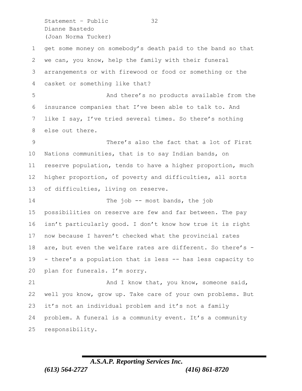Statement – Public 32 Dianne Bastedo (Joan Norma Tucker)

 get some money on somebody's death paid to the band so that we can, you know, help the family with their funeral arrangements or with firewood or food or something or the casket or something like that? And there's no products available from the insurance companies that I've been able to talk to. And like I say, I've tried several times. So there's nothing else out there. There's also the fact that a lot of First Nations communities, that is to say Indian bands, on reserve population, tends to have a higher proportion, much higher proportion, of poverty and difficulties, all sorts of difficulties, living on reserve. 14 The job -- most bands, the job possibilities on reserve are few and far between. The pay isn't particularly good. I don't know how true it is right now because I haven't checked what the provincial rates 18 are, but even the welfare rates are different. So there's - - there's a population that is less -- has less capacity to plan for funerals. I'm sorry. 21 And I know that, you know, someone said, well you know, grow up. Take care of your own problems. But it's not an individual problem and it's not a family problem. A funeral is a community event. It's a community responsibility.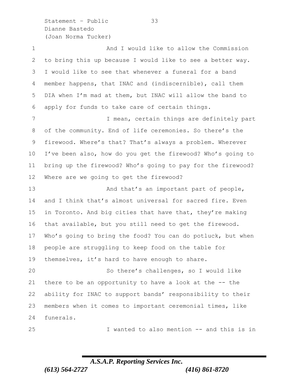Statement – Public 33 Dianne Bastedo (Joan Norma Tucker)

 And I would like to allow the Commission to bring this up because I would like to see a better way. I would like to see that whenever a funeral for a band member happens, that INAC and (indiscernible), call them DIA when I'm mad at them, but INAC will allow the band to apply for funds to take care of certain things. 7 I mean, certain things are definitely part of the community. End of life ceremonies. So there's the firewood. Where's that? That's always a problem. Wherever I've been also, how do you get the firewood? Who's going to bring up the firewood? Who's going to pay for the firewood? Where are we going to get the firewood? 13 And that's an important part of people, 14 and I think that's almost universal for sacred fire. Even in Toronto. And big cities that have that, they're making that available, but you still need to get the firewood. Who's going to bring the food? You can do potluck, but when people are struggling to keep food on the table for themselves, it's hard to have enough to share. So there's challenges, so I would like there to be an opportunity to have a look at the -- the ability for INAC to support bands' responsibility to their members when it comes to important ceremonial times, like funerals. I wanted to also mention -- and this is in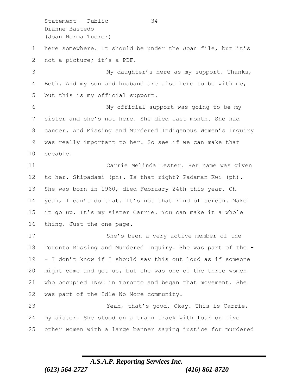Statement - Public 34 Dianne Bastedo (Joan Norma Tucker)

 here somewhere. It should be under the Joan file, but it's not a picture; it's a PDF.

3 My daughter's here as my support. Thanks, Beth. And my son and husband are also here to be with me, but this is my official support.

 My official support was going to be my sister and she's not here. She died last month. She had cancer. And Missing and Murdered Indigenous Women's Inquiry was really important to her. So see if we can make that seeable.

 Carrie Melinda Lester. Her name was given to her. Skipadami (ph). Is that right? Padaman Kwi (ph). She was born in 1960, died February 24th this year. Oh yeah, I can't do that. It's not that kind of screen. Make it go up. It's my sister Carrie. You can make it a whole thing. Just the one page.

 She's been a very active member of the Toronto Missing and Murdered Inquiry. She was part of the - - I don't know if I should say this out loud as if someone might come and get us, but she was one of the three women who occupied INAC in Toronto and began that movement. She was part of the Idle No More community.

 Yeah, that's good. Okay. This is Carrie, my sister. She stood on a train track with four or five other women with a large banner saying justice for murdered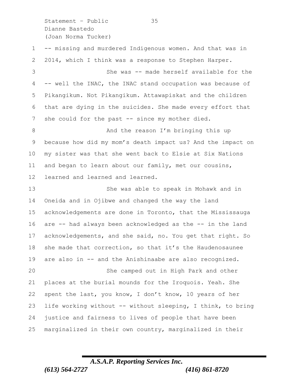Statement – Public 35 Dianne Bastedo (Joan Norma Tucker)

 -- missing and murdered Indigenous women. And that was in 2014, which I think was a response to Stephen Harper. She was -- made herself available for the -- well the INAC, the INAC stand occupation was because of Pikangikum. Not Pikangikum. Attawapiskat and the children that are dying in the suicides. She made every effort that 7 she could for the past -- since my mother died. 8 And the reason I'm bringing this up because how did my mom's death impact us? And the impact on my sister was that she went back to Elsie at Six Nations and began to learn about our family, met our cousins, learned and learned and learned. She was able to speak in Mohawk and in Oneida and in Ojibwe and changed the way the land acknowledgements are done in Toronto, that the Mississauga are -- had always been acknowledged as the -- in the land acknowledgements, and she said, no. You get that right. So she made that correction, so that it's the Haudenosaunee are also in -- and the Anishinaabe are also recognized. She camped out in High Park and other places at the burial mounds for the Iroquois. Yeah. She spent the last, you know, I don't know, 10 years of her life working without -- without sleeping, I think, to bring justice and fairness to lives of people that have been marginalized in their own country, marginalized in their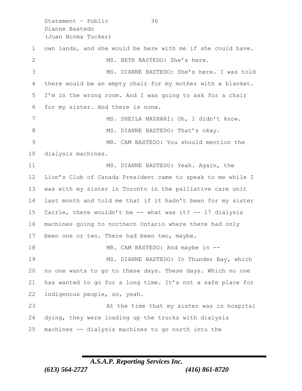Statement - Public 36 Dianne Bastedo (Joan Norma Tucker) own lands, and she would be here with me if she could have. 2 MS. BETH BASTEDO: She's here. MS. DIANNE BASTEDO: She's here. I was told there would be an empty chair for my mother with a blanket. I'm in the wrong room. And I was going to ask for a chair for my sister. And there is none. MS. SHEILA MAZHARI: Oh, I didn't know. 8 MS. DIANNE BASTEDO: That's okay. MR. CAM BASTEDO: You should mention the dialysis machines. 11 MS. DIANNE BASTEDO: Yeah. Again, the Lion's Club of Canada President came to speak to me while I was with my sister in Toronto in the palliative care unit last month and told me that if it hadn't been for my sister Carrie, there wouldn't be -- what was it? -- 17 dialysis machines going to northern Ontario where there had only 17 been one or two. There had been two, maybe. 18 MR. CAM BASTEDO: And maybe in --19 MS. DIANNE BASTEDO: In Thunder Bay, which no one wants to go to these days. These days. Which no one has wanted to go for a long time. It's not a safe place for indigenous people, so, yeah. At the time that my sister was in hospital dying, they were loading up the trucks with dialysis machines -- dialysis machines to go north into the

### *A.S.A.P. Reporting Services Inc. (613) 564-2727 (416) 861-8720*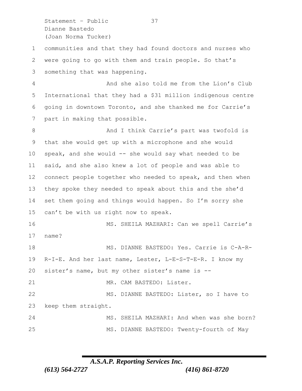Statement – Public 37 Dianne Bastedo (Joan Norma Tucker)

 communities and that they had found doctors and nurses who were going to go with them and train people. So that's something that was happening.

 And she also told me from the Lion's Club International that they had a \$31 million indigenous centre going in downtown Toronto, and she thanked me for Carrie's part in making that possible.

8 And I think Carrie's part was twofold is that she would get up with a microphone and she would speak, and she would -- she would say what needed to be said, and she also knew a lot of people and was able to 12 connect people together who needed to speak, and then when they spoke they needed to speak about this and the she'd set them going and things would happen. So I'm sorry she can't be with us right now to speak.

 MS. SHEILA MAZHARI: Can we spell Carrie's name?

 MS. DIANNE BASTEDO: Yes. Carrie is C-A-R- R-I-E. And her last name, Lester, L-E-S-T-E-R. I know my sister's name, but my other sister's name is -- 21 MR. CAM BASTEDO: Lister. MS. DIANNE BASTEDO: Lister, so I have to keep them straight. MS. SHEILA MAZHARI: And when was she born? MS. DIANNE BASTEDO: Twenty-fourth of May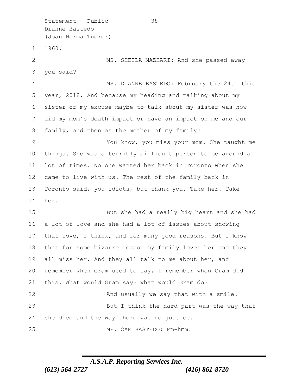Statement – Public 38 Dianne Bastedo (Joan Norma Tucker) 1960. 2 MS. SHEILA MAZHARI: And she passed away you said? MS. DIANNE BASTEDO: February the 24th this year, 2018. And because my heading and talking about my sister or my excuse maybe to talk about my sister was how did my mom's death impact or have an impact on me and our family, and then as the mother of my family? You know, you miss your mom. She taught me things. She was a terribly difficult person to be around a lot of times. No one wanted her back in Toronto when she came to live with us. The rest of the family back in Toronto said, you idiots, but thank you. Take her. Take her. But she had a really big heart and she had a lot of love and she had a lot of issues about showing that love, I think, and for many good reasons. But I know that for some bizarre reason my family loves her and they 19 all miss her. And they all talk to me about her, and remember when Gram used to say, I remember when Gram did this. What would Gram say? What would Gram do? 22 And usually we say that with a smile. But I think the hard part was the way that she died and the way there was no justice. MR. CAM BASTEDO: Mm-hmm.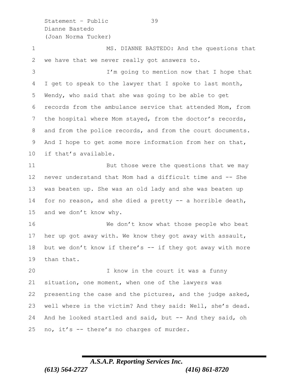Statement – Public 39 Dianne Bastedo (Joan Norma Tucker)

1 MS. DIANNE BASTEDO: And the questions that we have that we never really got answers to. I'm going to mention now that I hope that I get to speak to the lawyer that I spoke to last month, Wendy, who said that she was going to be able to get records from the ambulance service that attended Mom, from the hospital where Mom stayed, from the doctor's records, 8 and from the police records, and from the court documents. And I hope to get some more information from her on that, if that's available. 11 But those were the questions that we may never understand that Mom had a difficult time and -- She was beaten up. She was an old lady and she was beaten up for no reason, and she died a pretty -- a horrible death, and we don't know why. 16 We don't know what those people who beat her up got away with. We know they got away with assault, 18 but we don't know if there's -- if they got away with more than that. I know in the court it was a funny situation, one moment, when one of the lawyers was presenting the case and the pictures, and the judge asked, well where is the victim? And they said: Well, she's dead. 24 And he looked startled and said, but -- And they said, oh no, it's -- there's no charges of murder.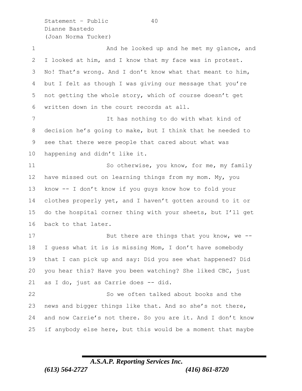Statement - Public 40 Dianne Bastedo (Joan Norma Tucker)

1 And he looked up and he met my glance, and I looked at him, and I know that my face was in protest. No! That's wrong. And I don't know what that meant to him, but I felt as though I was giving our message that you're not getting the whole story, which of course doesn't get written down in the court records at all. It has nothing to do with what kind of decision he's going to make, but I think that he needed to see that there were people that cared about what was happening and didn't like it. 11 So otherwise, you know, for me, my family have missed out on learning things from my mom. My, you know -- I don't know if you guys know how to fold your clothes properly yet, and I haven't gotten around to it or do the hospital corner thing with your sheets, but I'll get back to that later. 17 But there are things that you know, we -- I guess what it is is missing Mom, I don't have somebody that I can pick up and say: Did you see what happened? Did you hear this? Have you been watching? She liked CBC, just as I do, just as Carrie does -- did. So we often talked about books and the news and bigger things like that. And so she's not there, and now Carrie's not there. So you are it. And I don't know if anybody else here, but this would be a moment that maybe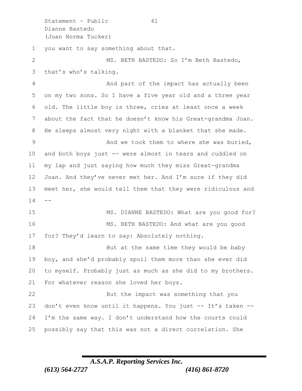Statement - Public 41 Dianne Bastedo (Joan Norma Tucker) you want to say something about that. MS. BETH BASTEDO: So I'm Beth Bastedo, that's who's talking. And part of the impact has actually been on my two sons. So I have a five year old and a three year old. The little boy is three, cries at least once a week about the fact that he doesn't know his Great-grandma Joan. He sleeps almost very night with a blanket that she made. 9 And we took them to where she was buried, and both boys just -- were almost in tears and cuddled on my lap and just saying how much they miss Great-grandma Joan. And they've never met her. And I'm sure if they did meet her, she would tell them that they were ridiculous and 15 MS. DIANNE BASTEDO: What are you good for? MS. BETH BASTEDO: And what are you good for? They'd learn to say: Absolutely nothing. 18 But at the same time they would be baby boy, and she'd probably spoil them more than she ever did to myself. Probably just as much as she did to my brothers. For whatever reason she loved her boys. But the impact was something that you 23 don't even know until it happens. You just -- It's taken -- I'm the same way. I don't understand how the courts could possibly say that this was not a direct correlation. She

### *A.S.A.P. Reporting Services Inc. (613) 564-2727 (416) 861-8720*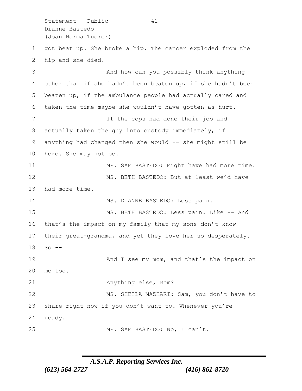Statement - Public 42 Dianne Bastedo (Joan Norma Tucker) got beat up. She broke a hip. The cancer exploded from the hip and she died. And how can you possibly think anything other than if she hadn't been beaten up, if she hadn't been beaten up, if the ambulance people had actually cared and taken the time maybe she wouldn't have gotten as hurt. If the cops had done their job and actually taken the guy into custody immediately, if anything had changed then she would -- she might still be here. She may not be. 11 MR. SAM BASTEDO: Might have had more time. MS. BETH BASTEDO: But at least we'd have had more time. 14 MS. DIANNE BASTEDO: Less pain. MS. BETH BASTEDO: Less pain. Like -- And that's the impact on my family that my sons don't know their great-grandma, and yet they love her so desperately. So -- **And I** see my mom, and that's the impact on me too. Anything else, Mom? MS. SHEILA MAZHARI: Sam, you don't have to share right now if you don't want to. Whenever you're ready. 25 MR. SAM BASTEDO: No, I can't.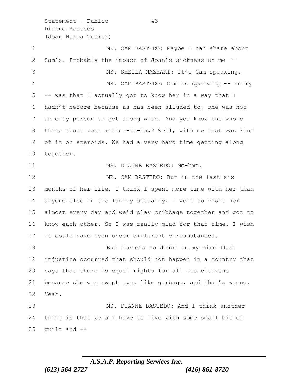Statement – Public 43 Dianne Bastedo (Joan Norma Tucker)

1 MR. CAM BASTEDO: Maybe I can share about Sam's. Probably the impact of Joan's sickness on me -- MS. SHEILA MAZHARI: It's Cam speaking. MR. CAM BASTEDO: Cam is speaking -- sorry -- was that I actually got to know her in a way that I hadn't before because as has been alluded to, she was not an easy person to get along with. And you know the whole thing about your mother-in-law? Well, with me that was kind of it on steroids. We had a very hard time getting along together. 11 MS. DIANNE BASTEDO: Mm-hmm. 12 MR. CAM BASTEDO: But in the last six months of her life, I think I spent more time with her than anyone else in the family actually. I went to visit her almost every day and we'd play cribbage together and got to know each other. So I was really glad for that time. I wish it could have been under different circumstances. 18 But there's no doubt in my mind that injustice occurred that should not happen in a country that says that there is equal rights for all its citizens because she was swept away like garbage, and that's wrong. Yeah. MS. DIANNE BASTEDO: And I think another thing is that we all have to live with some small bit of quilt and  $-$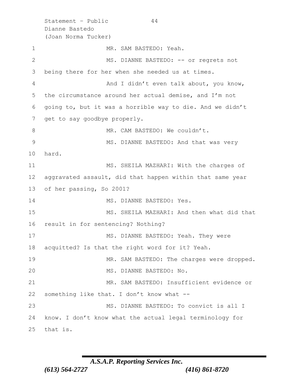Statement - Public 44 Dianne Bastedo (Joan Norma Tucker) 1 MR. SAM BASTEDO: Yeah. 2 MS. DIANNE BASTEDO: -- or regrets not 3 being there for her when she needed us at times. 4 And I didn't even talk about, you know, 5 the circumstance around her actual demise, and I'm not 6 going to, but it was a horrible way to die. And we didn't 7 get to say goodbye properly. 8 MR. CAM BASTEDO: We couldn't. 9 MS. DIANNE BASTEDO: And that was very 10 hard. 11 MS. SHEILA MAZHARI: With the charges of 12 aggravated assault, did that happen within that same year 13 of her passing, So 2001? 14 MS. DIANNE BASTEDO: Yes. 15 MS. SHEILA MAZHARI: And then what did that 16 result in for sentencing? Nothing? 17 MS. DIANNE BASTEDO: Yeah. They were 18 acquitted? Is that the right word for it? Yeah. 19 MR. SAM BASTEDO: The charges were dropped. 20 MS. DIANNE BASTEDO: No. 21 MR. SAM BASTEDO: Insufficient evidence or 22 something like that. I don't know what -- 23 MS. DIANNE BASTEDO: To convict is all I 24 know. I don't know what the actual legal terminology for 25 that is.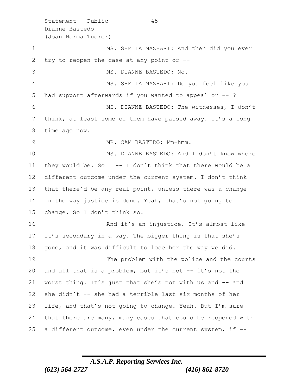Statement - Public 45 Dianne Bastedo (Joan Norma Tucker) 1 MS. SHEILA MAZHARI: And then did you ever try to reopen the case at any point or -- MS. DIANNE BASTEDO: No. MS. SHEILA MAZHARI: Do you feel like you had support afterwards if you wanted to appeal or -- ? MS. DIANNE BASTEDO: The witnesses, I don't think, at least some of them have passed away. It's a long time ago now. MR. CAM BASTEDO: Mm-hmm. 10 MS. DIANNE BASTEDO: And I don't know where 11 they would be. So I -- I don't think that there would be a different outcome under the current system. I don't think that there'd be any real point, unless there was a change in the way justice is done. Yeah, that's not going to change. So I don't think so. **And it's an injustice.** It's almost like it's secondary in a way. The bigger thing is that she's gone, and it was difficult to lose her the way we did. 19 The problem with the police and the courts and all that is a problem, but it's not -- it's not the worst thing. It's just that she's not with us and -- and she didn't -- she had a terrible last six months of her life, and that's not going to change. Yeah. But I'm sure that there are many, many cases that could be reopened with a different outcome, even under the current system, if --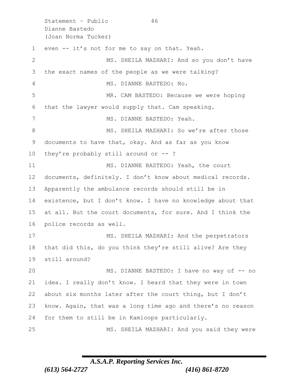Statement - Public 46 Dianne Bastedo (Joan Norma Tucker) even -- it's not for me to say on that. Yeah. 2 MS. SHEILA MAZHARI: And so you don't have the exact names of the people as we were talking? MS. DIANNE BASTEDO: No. MR. CAM BASTEDO: Because we were hoping that the lawyer would supply that. Cam speaking. MS. DIANNE BASTEDO: Yeah. 8 MS. SHEILA MAZHARI: So we're after those documents to have that, okay. And as far as you know they're probably still around or -- ? 11 MS. DIANNE BASTEDO: Yeah, the court documents, definitely. I don't know about medical records. Apparently the ambulance records should still be in existence, but I don't know. I have no knowledge about that at all. But the court documents, for sure. And I think the police records as well. 17 MS. SHEILA MAZHARI: And the perpetrators that did this, do you think they're still alive? Are they still around? 20 MS. DIANNE BASTEDO: I have no way of -- no idea. I really don't know. I heard that they were in town about six months later after the court thing, but I don't know. Again, that was a long time ago and there's no reason for them to still be in Kamloops particularly. MS. SHEILA MAZHARI: And you said they were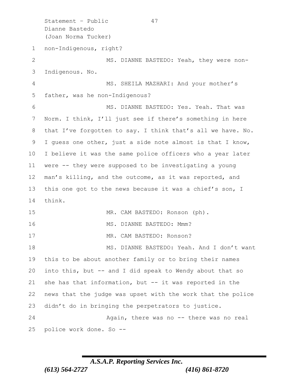Statement – Public 47 Dianne Bastedo (Joan Norma Tucker) non-Indigenous, right? 2 MS. DIANNE BASTEDO: Yeah, they were non- Indigenous. No. MS. SHEILA MAZHARI: And your mother's father, was he non-Indigenous? MS. DIANNE BASTEDO: Yes. Yeah. That was Norm. I think, I'll just see if there's something in here 8 that I've forgotten to say. I think that's all we have. No. I guess one other, just a side note almost is that I know, I believe it was the same police officers who a year later were -- they were supposed to be investigating a young man's killing, and the outcome, as it was reported, and this one got to the news because it was a chief's son, I think. MR. CAM BASTEDO: Ronson (ph). 16 MS. DIANNE BASTEDO: Mmm? 17 MR. CAM BASTEDO: Ronson? 18 MS. DIANNE BASTEDO: Yeah. And I don't want this to be about another family or to bring their names into this, but -- and I did speak to Wendy about that so she has that information, but -- it was reported in the news that the judge was upset with the work that the police didn't do in bringing the perpetrators to justice. Again, there was no -- there was no real police work done. So --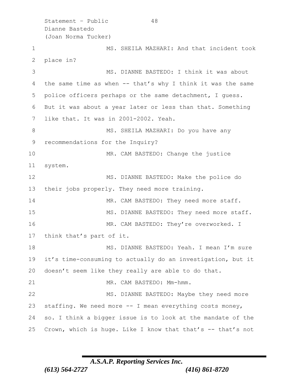Statement - Public 48 Dianne Bastedo (Joan Norma Tucker) MS. SHEILA MAZHARI: And that incident took place in? MS. DIANNE BASTEDO: I think it was about the same time as when -- that's why I think it was the same police officers perhaps or the same detachment, I guess. But it was about a year later or less than that. Something like that. It was in 2001-2002. Yeah. 8 MS. SHEILA MAZHARI: Do you have any recommendations for the Inquiry? MR. CAM BASTEDO: Change the justice 11 system. MS. DIANNE BASTEDO: Make the police do their jobs properly. They need more training. 14 MR. CAM BASTEDO: They need more staff. MS. DIANNE BASTEDO: They need more staff. 16 MR. CAM BASTEDO: They're overworked. I think that's part of it. 18 MS. DIANNE BASTEDO: Yeah. I mean I'm sure it's time-consuming to actually do an investigation, but it doesn't seem like they really are able to do that. 21 MR. CAM BASTEDO: Mm-hmm. 22 MS. DIANNE BASTEDO: Maybe they need more staffing. We need more -- I mean everything costs money, so. I think a bigger issue is to look at the mandate of the 25 Crown, which is huge. Like I know that that's -- that's not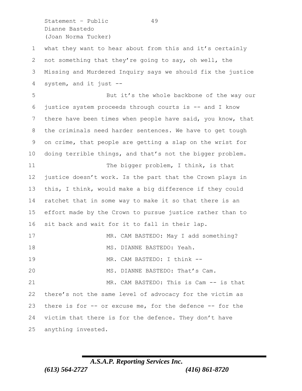Statement - Public 49 Dianne Bastedo (Joan Norma Tucker)

 what they want to hear about from this and it's certainly not something that they're going to say, oh well, the Missing and Murdered Inquiry says we should fix the justice system, and it just --

 But it's the whole backbone of the way our justice system proceeds through courts is -- and I know 7 there have been times when people have said, you know, that the criminals need harder sentences. We have to get tough on crime, that people are getting a slap on the wrist for doing terrible things, and that's not the bigger problem. 11 The bigger problem, I think, is that justice doesn't work. Is the part that the Crown plays in this, I think, would make a big difference if they could ratchet that in some way to make it so that there is an effort made by the Crown to pursue justice rather than to sit back and wait for it to fall in their lap. 17 MR. CAM BASTEDO: May I add something? 18 MS. DIANNE BASTEDO: Yeah. MR. CAM BASTEDO: I think -- MS. DIANNE BASTEDO: That's Cam. MR. CAM BASTEDO: This is Cam -- is that there's not the same level of advocacy for the victim as there is for -- or excuse me, for the defence -- for the victim that there is for the defence. They don't have anything invested.

## *A.S.A.P. Reporting Services Inc. (613) 564-2727 (416) 861-8720*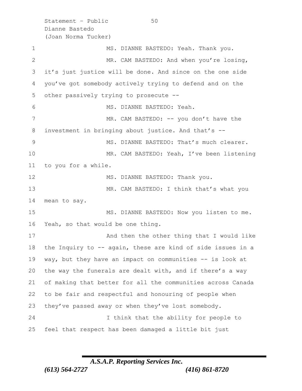Statement – Public 50 Dianne Bastedo (Joan Norma Tucker) 1 MS. DIANNE BASTEDO: Yeah. Thank you. MR. CAM BASTEDO: And when you're losing, it's just justice will be done. And since on the one side you've got somebody actively trying to defend and on the other passively trying to prosecute -- MS. DIANNE BASTEDO: Yeah. 7 MR. CAM BASTEDO: -- you don't have the investment in bringing about justice. And that's -- MS. DIANNE BASTEDO: That's much clearer. MR. CAM BASTEDO: Yeah, I've been listening to you for a while. 12 MS. DIANNE BASTEDO: Thank you. MR. CAM BASTEDO: I think that's what you mean to say. MS. DIANNE BASTEDO: Now you listen to me. Yeah, so that would be one thing. 17 And then the other thing that I would like the Inquiry to -- again, these are kind of side issues in a way, but they have an impact on communities -- is look at the way the funerals are dealt with, and if there's a way of making that better for all the communities across Canada to be fair and respectful and honouring of people when they've passed away or when they've lost somebody. I think that the ability for people to feel that respect has been damaged a little bit just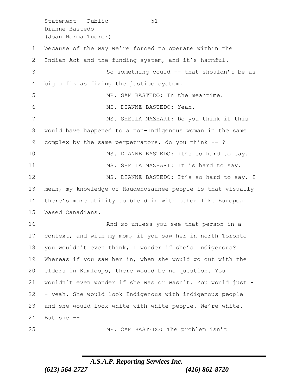Statement - Public 51 Dianne Bastedo (Joan Norma Tucker)

 because of the way we're forced to operate within the Indian Act and the funding system, and it's harmful. So something could -- that shouldn't be as big a fix as fixing the justice system. MR. SAM BASTEDO: In the meantime. MS. DIANNE BASTEDO: Yeah. MS. SHEILA MAZHARI: Do you think if this would have happened to a non-Indigenous woman in the same complex by the same perpetrators, do you think -- ? MS. DIANNE BASTEDO: It's so hard to say. 11 MS. SHEILA MAZHARI: It is hard to say. 12 MS. DIANNE BASTEDO: It's so hard to say. I mean, my knowledge of Haudenosaunee people is that visually there's more ability to blend in with other like European based Canadians. And so unless you see that person in a context, and with my mom, if you saw her in north Toronto you wouldn't even think, I wonder if she's Indigenous? Whereas if you saw her in, when she would go out with the elders in Kamloops, there would be no question. You wouldn't even wonder if she was or wasn't. You would just - - yeah. She would look Indigenous with indigenous people and she would look white with white people. We're white. But she --

MR. CAM BASTEDO: The problem isn't

## *A.S.A.P. Reporting Services Inc. (613) 564-2727 (416) 861-8720*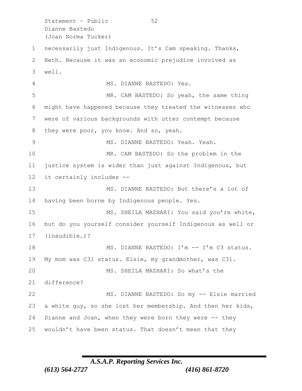Statement – Public 52 Dianne Bastedo (Joan Norma Tucker)

 necessarily just Indigenous. It's Cam speaking. Thanks, Beth. Because it was an economic prejudice involved as well.

MS. DIANNE BASTEDO: Yes.

 MR. CAM BASTEDO: So yeah, the same thing might have happened because they treated the witnesses who were of various backgrounds with utter contempt because they were poor, you know. And so, yeah.

 MS. DIANNE BASTEDO: Yeah. Yeah. MR. CAM BASTEDO: So the problem in the justice system is wider than just against Indigenous, but it certainly includes --

 MS. DIANNE BASTEDO: But there's a lot of having been borne by Indigenous people. Yes.

 MS. SHEILA MAZHARI: You said you're white, but do you yourself consider yourself Indigenous as well or (inaudible…)?

18 MS. DIANNE BASTEDO: I'm -- I'm C3 status. My mom was C31 status. Elsie, my grandmother, was C31. MS. SHEILA MAZHARI: So what's the difference?

 MS. DIANNE BASTEDO: So my -- Elsie married a white guy, so she lost her membership. And then her kids, Dianne and Joan, when they were born they were -- they wouldn't have been status. That doesn't mean that they

# *A.S.A.P. Reporting Services Inc.*

*(613) 564-2727 (416) 861-8720*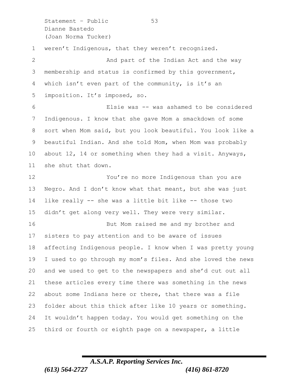Statement – Public 53 Dianne Bastedo (Joan Norma Tucker) weren't Indigenous, that they weren't recognized. 2 And part of the Indian Act and the way membership and status is confirmed by this government, which isn't even part of the community, is it's an imposition. It's imposed, so. Elsie was -- was ashamed to be considered Indigenous. I know that she gave Mom a smackdown of some sort when Mom said, but you look beautiful. You look like a beautiful Indian. And she told Mom, when Mom was probably about 12, 14 or something when they had a visit. Anyways, she shut that down. You're no more Indigenous than you are Negro. And I don't know what that meant, but she was just like really -- she was a little bit like -- those two didn't get along very well. They were very similar. But Mom raised me and my brother and sisters to pay attention and to be aware of issues affecting Indigenous people. I know when I was pretty young I used to go through my mom's files. And she loved the news and we used to get to the newspapers and she'd cut out all these articles every time there was something in the news about some Indians here or there, that there was a file folder about this thick after like 10 years or something. It wouldn't happen today. You would get something on the third or fourth or eighth page on a newspaper, a little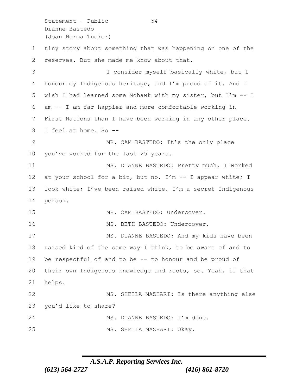Statement – Public 54 Dianne Bastedo (Joan Norma Tucker)

 tiny story about something that was happening on one of the reserves. But she made me know about that. I consider myself basically white, but I honour my Indigenous heritage, and I'm proud of it. And I wish I had learned some Mohawk with my sister, but I'm -- I am -- I am far happier and more comfortable working in First Nations than I have been working in any other place. I feel at home. So -- MR. CAM BASTEDO: It's the only place you've worked for the last 25 years. 11 MS. DIANNE BASTEDO: Pretty much. I worked 12 at your school for a bit, but no. I'm -- I appear white; I look white; I've been raised white. I'm a secret Indigenous person. 15 MR. CAM BASTEDO: Undercover. 16 MS. BETH BASTEDO: Undercover. 17 MS. DIANNE BASTEDO: And my kids have been raised kind of the same way I think, to be aware of and to be respectful of and to be -- to honour and be proud of their own Indigenous knowledge and roots, so. Yeah, if that helps. MS. SHEILA MAZHARI: Is there anything else you'd like to share? 24 MS. DIANNE BASTEDO: I'm done. MS. SHEILA MAZHARI: Okay.

### *A.S.A.P. Reporting Services Inc. (613) 564-2727 (416) 861-8720*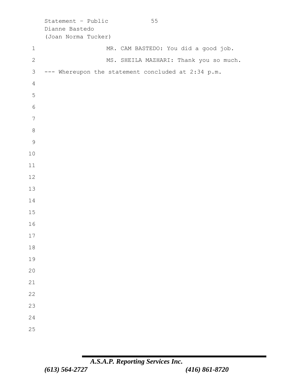|                | Statement - Public<br>55<br>Dianne Bastedo<br>(Joan Norma Tucker) |
|----------------|-------------------------------------------------------------------|
| $1\,$          | MR. CAM BASTEDO: You did a good job.                              |
| $\mathbf{2}$   | MS. SHEILA MAZHARI: Thank you so much.                            |
| $\mathsf 3$    | --- Whereupon the statement concluded at 2:34 p.m.                |
| $\overline{4}$ |                                                                   |
| 5              |                                                                   |
| $\epsilon$     |                                                                   |
| $\overline{7}$ |                                                                   |
| $\,8\,$        |                                                                   |
| $\mathcal{G}$  |                                                                   |
| 10             |                                                                   |
| 11             |                                                                   |
| 12             |                                                                   |
| 13             |                                                                   |
| 14             |                                                                   |
| 15             |                                                                   |
| 16             |                                                                   |
| 17             |                                                                   |
| 18             |                                                                   |
| 19             |                                                                   |
| 20             |                                                                   |
| 21             |                                                                   |
| 22             |                                                                   |
| 23             |                                                                   |
| 24             |                                                                   |
| 25             |                                                                   |